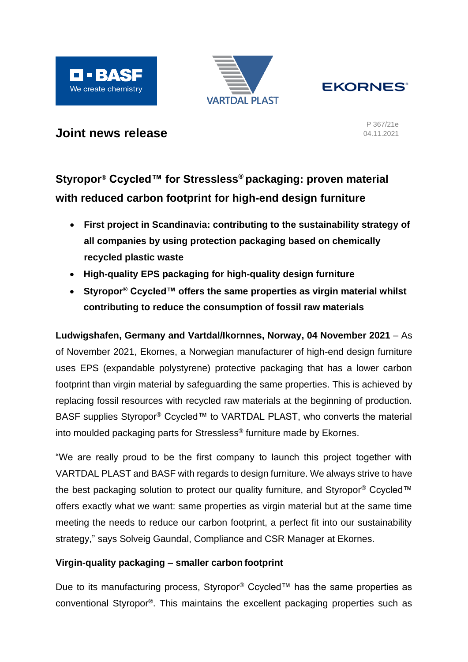





# **Joint news release**

P 367/21e 04.11.2021

# **Styropor® Ccycled™ for Stressless® packaging: proven material with reduced carbon footprint for high-end design furniture**

- **First project in Scandinavia: contributing to the sustainability strategy of all companies by using protection packaging based on chemically recycled plastic waste**
- **High-quality EPS packaging for high-quality design furniture**
- **Styropor® Ccycled™ offers the same properties as virgin material whilst contributing to reduce the consumption of fossil raw materials**

**Ludwigshafen, Germany and Vartdal/Ikornnes, Norway, 04 November 2021** – As of November 2021, Ekornes, a Norwegian manufacturer of high-end design furniture uses EPS (expandable polystyrene) protective packaging that has a lower carbon footprint than virgin material by safeguarding the same properties. This is achieved by replacing fossil resources with recycled raw materials at the beginning of production. BASF supplies Styropor® Ccycled™ to VARTDAL PLAST, who converts the material into moulded packaging parts for Stressless® furniture made by Ekornes.

"We are really proud to be the first company to launch this project together with VARTDAL PLAST and BASF with regards to design furniture. We always strive to have the best packaging solution to protect our quality furniture, and Styropor® Ccycled™ offers exactly what we want: same properties as virgin material but at the same time meeting the needs to reduce our carbon footprint, a perfect fit into our sustainability strategy," says Solveig Gaundal, Compliance and CSR Manager at Ekornes.

## **Virgin-quality packaging – smaller carbon footprint**

Due to its manufacturing process, Styropor<sup>®</sup> Ccycled™ has the same properties as conventional Styropor**®**. This maintains the excellent packaging properties such as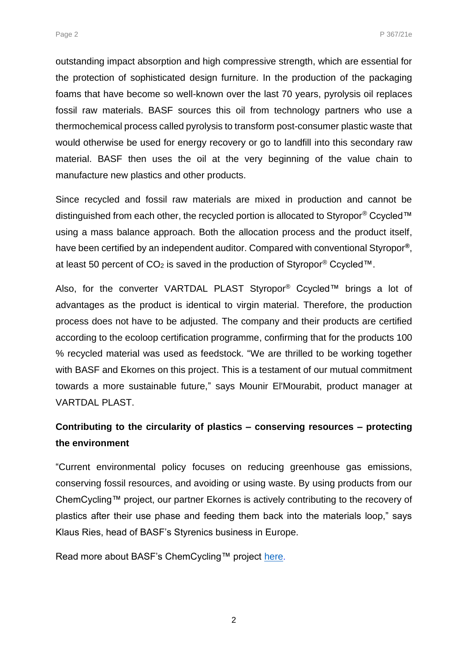outstanding impact absorption and high compressive strength, which are essential for the protection of sophisticated design furniture. In the production of the packaging foams that have become so well-known over the last 70 years, pyrolysis oil replaces fossil raw materials. BASF sources this oil from technology partners who use a thermochemical process called pyrolysis to transform post-consumer plastic waste that would otherwise be used for energy recovery or go to landfill into this secondary raw material. BASF then uses the oil at the very beginning of the value chain to manufacture new plastics and other products.

Since recycled and fossil raw materials are mixed in production and cannot be distinguished from each other, the recycled portion is allocated to Styropor<sup>®</sup> Ccycled™ using a mass balance approach. Both the allocation process and the product itself, have been certified by an independent auditor. Compared with conventional Styropor**®**, at least 50 percent of  $CO<sub>2</sub>$  is saved in the production of Styropor® Ccycled™.

Also, for the converter VARTDAL PLAST Styropor® Ccycled™ brings a lot of advantages as the product is identical to virgin material. Therefore, the production process does not have to be adjusted. The company and their products are certified according to the ecoloop certification programme, confirming that for the products 100 % recycled material was used as feedstock. "We are thrilled to be working together with BASF and Ekornes on this project. This is a testament of our mutual commitment towards a more sustainable future," says Mounir El'Mourabit, product manager at VARTDAL PLAST.

# **Contributing to the circularity of plastics – conserving resources – protecting the environment**

"Current environmental policy focuses on reducing greenhouse gas emissions, conserving fossil resources, and avoiding or using waste. By using products from our ChemCycling™ project, our partner Ekornes is actively contributing to the recovery of plastics after their use phase and feeding them back into the materials loop," says Klaus Ries, head of BASF's Styrenics business in Europe.

Read more about BASF's ChemCycling™ project [here](https://www.basf.com/global/en/who-we-are/sustainability/we-drive-sustainable-solutions/circular-economy/mass-balance-approach/chemcycling.html).

2